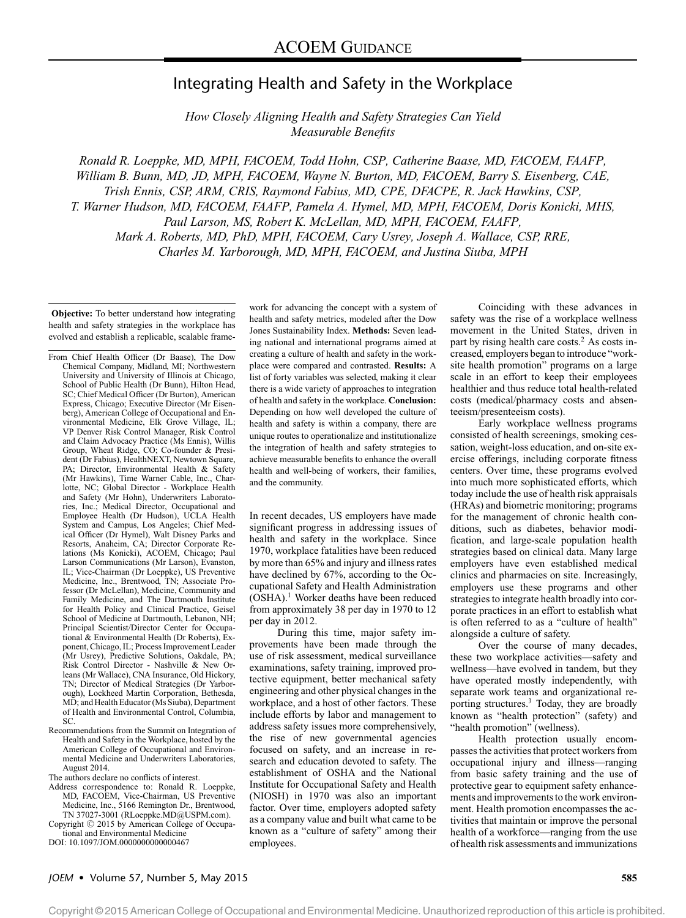# Integrating Health and Safety in the Workplace

*How Closely Aligning Health and Safety Strategies Can Yield Measurable Benefits*

*Ronald R. Loeppke, MD, MPH, FACOEM, Todd Hohn, CSP, Catherine Baase, MD, FACOEM, FAAFP, William B. Bunn, MD, JD, MPH, FACOEM, Wayne N. Burton, MD, FACOEM, Barry S. Eisenberg, CAE, Trish Ennis, CSP, ARM, CRIS, Raymond Fabius, MD, CPE, DFACPE, R. Jack Hawkins, CSP, T. Warner Hudson, MD, FACOEM, FAAFP, Pamela A. Hymel, MD, MPH, FACOEM, Doris Konicki, MHS, Paul Larson, MS, Robert K. McLellan, MD, MPH, FACOEM, FAAFP, Mark A. Roberts, MD, PhD, MPH, FACOEM, Cary Usrey, Joseph A. Wallace, CSP, RRE, Charles M. Yarborough, MD, MPH, FACOEM, and Justina Siuba, MPH*

**Objective:** To better understand how integrating health and safety strategies in the workplace has evolved and establish a replicable, scalable frame-

From Chief Health Officer (Dr Baase), The Dow Chemical Company, Midland, MI; Northwestern University and University of Illinois at Chicago, School of Public Health (Dr Bunn), Hilton Head, SC; Chief Medical Officer (Dr Burton), American Express, Chicago; Executive Director (Mr Eisenberg), American College of Occupational and Environmental Medicine, Elk Grove Village, IL; VP Denver Risk Control Manager, Risk Control and Claim Advocacy Practice (Ms Ennis), Willis Group, Wheat Ridge, CO; Co-founder & President (Dr Fabius), HealthNEXT, Newtown Square, PA; Director, Environmental Health & Safety (Mr Hawkins), Time Warner Cable, Inc., Char-lotte, NC; Global Director - Workplace Health and Safety (Mr Hohn), Underwriters Laboratories, Inc.; Medical Director, Occupational and Employee Health (Dr Hudson), UCLA Health System and Campus, Los Angeles; Chief Medical Officer (Dr Hymel), Walt Disney Parks and Resorts, Anaheim, CA; Director Corporate Relations (Ms Konicki), ACOEM, Chicago; Paul Larson Communications (Mr Larson), Evanston, IL; Vice-Chairman (Dr Loeppke), US Preventive Medicine, Inc., Brentwood, TN; Associate Professor (Dr McLellan), Medicine, Community and Family Medicine, and The Dartmouth Institute for Health Policy and Clinical Practice, Geisel School of Medicine at Dartmouth, Lebanon, NH; Principal Scientist/Director Center for Occupational & Environmental Health (Dr Roberts), Exponent, Chicago, IL; Process Improvement Leader (Mr Usrey), Predictive Solutions, Oakdale, PA; Risk Control Director - Nashville & New Orleans (Mr Wallace), CNA Insurance, Old Hickory, TN; Director of Medical Strategies (Dr Yarborough), Lockheed Martin Corporation, Bethesda, MD; and Health Educator (Ms Siuba), Department of Health and Environmental Control, Columbia, SC.

Recommendations from the Summit on Integration of Health and Safety in the Workplace, hosted by the American College of Occupational and Environmental Medicine and Underwriters Laboratories, August 2014.

The authors declare no conflicts of interest.

- Address correspondence to: Ronald R. Loeppke, MD, FACOEM, Vice-Chairman, US Preventive Medicine, Inc., 5166 Remington Dr., Brentwood, TN 37027-3001 [\(RLoeppke.MD@USPM.com\)](mailto:RLoeppke.MD@USPM.com).
- Copyright  $\odot$  2015 by American College of Occupational and Environmental Medicine DOI: 10.1097/JOM.0000000000000467

work for advancing the concept with a system of health and safety metrics, modeled after the Dow Jones Sustainability Index. **Methods:** Seven leading national and international programs aimed at creating a culture of health and safety in the workplace were compared and contrasted. **Results:** A list of forty variables was selected, making it clear there is a wide variety of approaches to integration of health and safety in the workplace. **Conclusion:** Depending on how well developed the culture of health and safety is within a company, there are unique routes to operationalize and institutionalize the integration of health and safety strategies to achieve measurable benefits to enhance the overall health and well-being of workers, their families, and the community.

In recent decades, US employers have made significant progress in addressing issues of health and safety in the workplace. Since 1970, workplace fatalities have been reduced by more than 65% and injury and illness rates have declined by 67%, according to the Occupational Safety and Health Administration (OSHA).1 Worker deaths have been reduced from approximately 38 per day in 1970 to 12 per day in 2012.

During this time, major safety improvements have been made through the use of risk assessment, medical surveillance examinations, safety training, improved protective equipment, better mechanical safety engineering and other physical changes in the workplace, and a host of other factors. These include efforts by labor and management to address safety issues more comprehensively, the rise of new governmental agencies focused on safety, and an increase in research and education devoted to safety. The establishment of OSHA and the National Institute for Occupational Safety and Health (NIOSH) in 1970 was also an important factor. Over time, employers adopted safety as a company value and built what came to be known as a "culture of safety" among their employees.

Coinciding with these advances in safety was the rise of a workplace wellness movement in the United States, driven in part by rising health care costs.2 As costs increased, employers began to introduce "worksite health promotion" programs on a large scale in an effort to keep their employees healthier and thus reduce total health-related costs (medical/pharmacy costs and absenteeism/presenteeism costs).

Early workplace wellness programs consisted of health screenings, smoking cessation, weight-loss education, and on-site exercise offerings, including corporate fitness centers. Over time, these programs evolved into much more sophisticated efforts, which today include the use of health risk appraisals (HRAs) and biometric monitoring; programs for the management of chronic health conditions, such as diabetes, behavior modification, and large-scale population health strategies based on clinical data. Many large employers have even established medical clinics and pharmacies on site. Increasingly, employers use these programs and other strategies to integrate health broadly into corporate practices in an effort to establish what is often referred to as a "culture of health" alongside a culture of safety.

Over the course of many decades, these two workplace activities—safety and wellness—have evolved in tandem, but they have operated mostly independently, with separate work teams and organizational reporting structures.<sup>3</sup> Today, they are broadly known as "health protection" (safety) and "health promotion" (wellness).

Health protection usually encompasses the activities that protect workers from occupational injury and illness—ranging from basic safety training and the use of protective gear to equipment safety enhancements and improvements to the work environment. Health promotion encompasses the activities that maintain or improve the personal health of a workforce—ranging from the use of health risk assessments and immunizations

Copyright © 2015 American College of Occupational and Environmental Medicine. Unauthorized reproduction of this article is prohibited.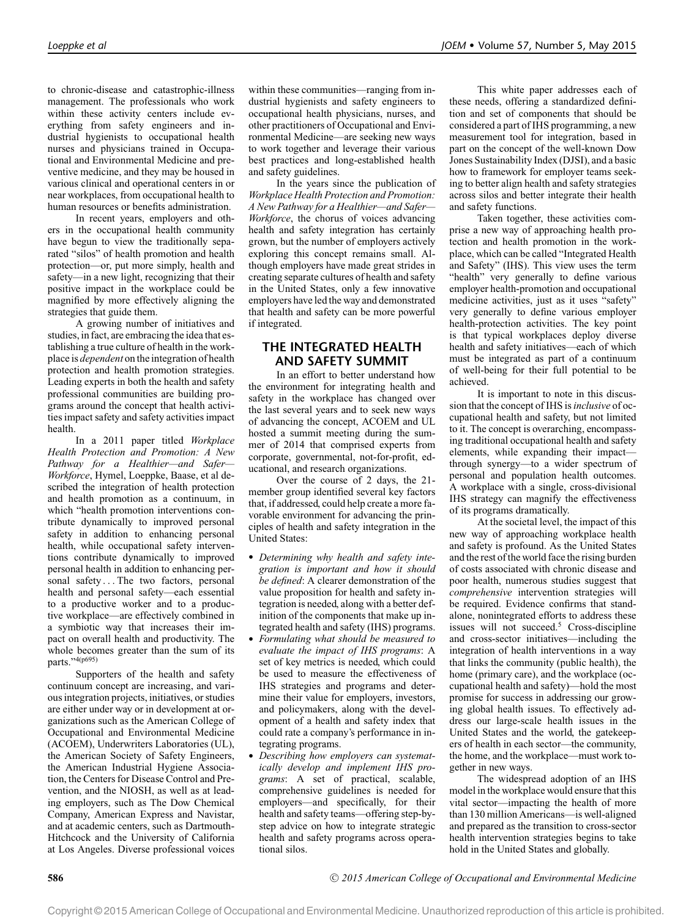to chronic-disease and catastrophic-illness management. The professionals who work within these activity centers include everything from safety engineers and industrial hygienists to occupational health nurses and physicians trained in Occupational and Environmental Medicine and preventive medicine, and they may be housed in various clinical and operational centers in or near workplaces, from occupational health to human resources or benefits administration.

In recent years, employers and others in the occupational health community have begun to view the traditionally separated "silos" of health promotion and health protection—or, put more simply, health and safety—in a new light, recognizing that their positive impact in the workplace could be magnified by more effectively aligning the strategies that guide them.

A growing number of initiatives and studies, in fact, are embracing the idea that establishing a true culture of health in the workplace is *dependent* on the integration of health protection and health promotion strategies. Leading experts in both the health and safety professional communities are building programs around the concept that health activities impact safety and safety activities impact health.

In a 2011 paper titled *Workplace Health Protection and Promotion: A New Pathway for a Healthier—and Safer— Workforce*, Hymel, Loeppke, Baase, et al described the integration of health protection and health promotion as a continuum, in which "health promotion interventions contribute dynamically to improved personal safety in addition to enhancing personal health, while occupational safety interventions contribute dynamically to improved personal health in addition to enhancing personal safety . . . The two factors, personal health and personal safety—each essential to a productive worker and to a productive workplace—are effectively combined in a symbiotic way that increases their impact on overall health and productivity. The whole becomes greater than the sum of its parts."4(p695)

Supporters of the health and safety continuum concept are increasing, and various integration projects, initiatives, or studies are either under way or in development at organizations such as the American College of Occupational and Environmental Medicine (ACOEM), Underwriters Laboratories (UL), the American Society of Safety Engineers, the American Industrial Hygiene Association, the Centers for Disease Control and Prevention, and the NIOSH, as well as at leading employers, such as The Dow Chemical Company, American Express and Navistar, and at academic centers, such as Dartmouth-Hitchcock and the University of California at Los Angeles. Diverse professional voices

within these communities—ranging from industrial hygienists and safety engineers to occupational health physicians, nurses, and other practitioners of Occupational and Environmental Medicine—are seeking new ways to work together and leverage their various best practices and long-established health and safety guidelines.

In the years since the publication of *Workplace Health Protection and Promotion: A New Pathway for a Healthier—and Safer— Workforce*, the chorus of voices advancing health and safety integration has certainly grown, but the number of employers actively exploring this concept remains small. Although employers have made great strides in creating separate cultures of health and safety in the United States, only a few innovative employers have led the way and demonstrated that health and safety can be more powerful if integrated.

### **THE INTEGRATED HEALTH AND SAFETY SUMMIT**

In an effort to better understand how the environment for integrating health and safety in the workplace has changed over the last several years and to seek new ways of advancing the concept, ACOEM and UL hosted a summit meeting during the summer of 2014 that comprised experts from corporate, governmental, not-for-profit, educational, and research organizations.

Over the course of 2 days, the 21 member group identified several key factors that, if addressed, could help create a more favorable environment for advancing the principles of health and safety integration in the United States:

- *Determining why health and safety integration is important and how it should be defined*: A clearer demonstration of the value proposition for health and safety integration is needed, along with a better definition of the components that make up integrated health and safety (IHS) programs.
- *Formulating what should be measured to evaluate the impact of IHS programs*: A set of key metrics is needed, which could be used to measure the effectiveness of IHS strategies and programs and determine their value for employers, investors, and policymakers, along with the development of a health and safety index that could rate a company's performance in integrating programs.
- *Describing how employers can systematically develop and implement IHS programs*: A set of practical, scalable, comprehensive guidelines is needed for employers—and specifically, for their health and safety teams—offering step-bystep advice on how to integrate strategic health and safety programs across operational silos.

This white paper addresses each of these needs, offering a standardized definition and set of components that should be considered a part of IHS programming, a new measurement tool for integration, based in part on the concept of the well-known Dow Jones Sustainability Index (DJSI), and a basic how to framework for employer teams seeking to better align health and safety strategies across silos and better integrate their health and safety functions.

Taken together, these activities comprise a new way of approaching health protection and health promotion in the workplace, which can be called "Integrated Health and Safety" (IHS). This view uses the term "health" very generally to define various employer health-promotion and occupational medicine activities, just as it uses "safety" very generally to define various employer health-protection activities. The key point is that typical workplaces deploy diverse health and safety initiatives—each of which must be integrated as part of a continuum of well-being for their full potential to be achieved.

It is important to note in this discussion that the concept of IHS is*inclusive* of occupational health and safety, but not limited to it. The concept is overarching, encompassing traditional occupational health and safety elements, while expanding their impact through synergy—to a wider spectrum of personal and population health outcomes. A workplace with a single, cross-divisional IHS strategy can magnify the effectiveness of its programs dramatically.

At the societal level, the impact of this new way of approaching workplace health and safety is profound. As the United States and the rest of the world face the rising burden of costs associated with chronic disease and poor health, numerous studies suggest that *comprehensive* intervention strategies will be required. Evidence confirms that standalone, nonintegrated efforts to address these issues will not succeed. $5$  Cross-discipline and cross-sector initiatives—including the integration of health interventions in a way that links the community (public health), the home (primary care), and the workplace (occupational health and safety)—hold the most promise for success in addressing our growing global health issues. To effectively address our large-scale health issues in the United States and the world, the gatekeepers of health in each sector—the community, the home, and the workplace—must work together in new ways.

The widespread adoption of an IHS model in the workplace would ensure that this vital sector—impacting the health of more than 130 million Americans—is well-aligned and prepared as the transition to cross-sector health intervention strategies begins to take hold in the United States and globally.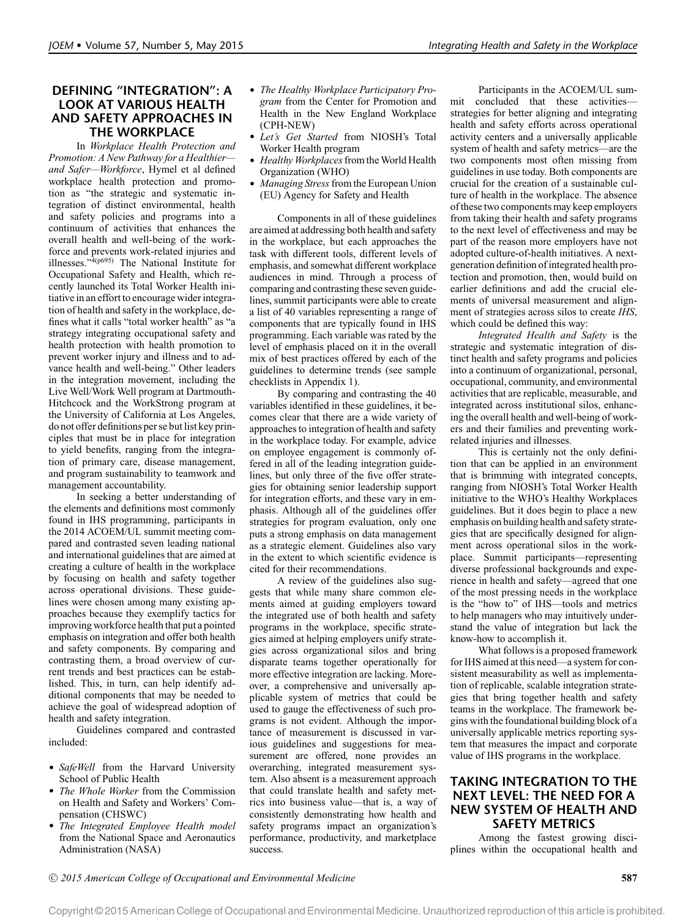### **DEFINING "INTEGRATION": A LOOK AT VARIOUS HEALTH AND SAFETY APPROACHES IN THE WORKPLACE**

In *Workplace Health Protection and Promotion: A New Pathway for a Healthier and Safer—Workforce*, Hymel et al defined workplace health protection and promotion as "the strategic and systematic integration of distinct environmental, health and safety policies and programs into a continuum of activities that enhances the overall health and well-being of the workforce and prevents work-related injuries and illnesses."4(p695) The National Institute for Occupational Safety and Health, which recently launched its Total Worker Health initiative in an effort to encourage wider integration of health and safety in the workplace, defines what it calls "total worker health" as "a strategy integrating occupational safety and health protection with health promotion to prevent worker injury and illness and to advance health and well-being." Other leaders in the integration movement, including the Live Well/Work Well program at Dartmouth-Hitchcock and the WorkStrong program at the University of California at Los Angeles, do not offer definitions per se but list key principles that must be in place for integration to yield benefits, ranging from the integration of primary care, disease management, and program sustainability to teamwork and management accountability.

In seeking a better understanding of the elements and definitions most commonly found in IHS programming, participants in the 2014 ACOEM/UL summit meeting compared and contrasted seven leading national and international guidelines that are aimed at creating a culture of health in the workplace by focusing on health and safety together across operational divisions. These guidelines were chosen among many existing approaches because they exemplify tactics for improving workforce health that put a pointed emphasis on integration and offer both health and safety components. By comparing and contrasting them, a broad overview of current trends and best practices can be established. This, in turn, can help identify additional components that may be needed to achieve the goal of widespread adoption of health and safety integration.

Guidelines compared and contrasted included:

- *SafeWell* from the Harvard University School of Public Health
- *The Whole Worker* from the Commission on Health and Safety and Workers' Compensation (CHSWC)
- - *The Integrated Employee Health model* from the National Space and Aeronautics Administration (NASA)
- *The Healthy Workplace Participatory Program* from the Center for Promotion and Health in the New England Workplace (CPH-NEW)
- *Let's Get Started* from NIOSH's Total Worker Health program
- **Healthy Workplaces from the World Health** Organization (WHO)
- - *Managing Stress*from the European Union (EU) Agency for Safety and Health

Components in all of these guidelines are aimed at addressing both health and safety in the workplace, but each approaches the task with different tools, different levels of emphasis, and somewhat different workplace audiences in mind. Through a process of comparing and contrasting these seven guidelines, summit participants were able to create a list of 40 variables representing a range of components that are typically found in IHS programming. Each variable was rated by the level of emphasis placed on it in the overall mix of best practices offered by each of the guidelines to determine trends (see sample checklists in Appendix 1).

By comparing and contrasting the 40 variables identified in these guidelines, it becomes clear that there are a wide variety of approaches to integration of health and safety in the workplace today. For example, advice on employee engagement is commonly offered in all of the leading integration guidelines, but only three of the five offer strategies for obtaining senior leadership support for integration efforts, and these vary in emphasis. Although all of the guidelines offer strategies for program evaluation, only one puts a strong emphasis on data management as a strategic element. Guidelines also vary in the extent to which scientific evidence is cited for their recommendations.

A review of the guidelines also suggests that while many share common elements aimed at guiding employers toward the integrated use of both health and safety programs in the workplace, specific strategies aimed at helping employers unify strategies across organizational silos and bring disparate teams together operationally for more effective integration are lacking. Moreover, a comprehensive and universally applicable system of metrics that could be used to gauge the effectiveness of such programs is not evident. Although the importance of measurement is discussed in various guidelines and suggestions for measurement are offered, none provides an overarching, integrated measurement system. Also absent is a measurement approach that could translate health and safety metrics into business value—that is, a way of consistently demonstrating how health and safety programs impact an organization's performance, productivity, and marketplace success.

Participants in the ACOEM/UL sum-

mit concluded that these activities strategies for better aligning and integrating health and safety efforts across operational activity centers and a universally applicable system of health and safety metrics—are the two components most often missing from guidelines in use today. Both components are crucial for the creation of a sustainable culture of health in the workplace. The absence of these two components may keep employers from taking their health and safety programs to the next level of effectiveness and may be part of the reason more employers have not adopted culture-of-health initiatives. A nextgeneration definition of integrated health protection and promotion, then, would build on earlier definitions and add the crucial elements of universal measurement and alignment of strategies across silos to create *IHS*, which could be defined this way:

*Integrated Health and Safety* is the strategic and systematic integration of distinct health and safety programs and policies into a continuum of organizational, personal, occupational, community, and environmental activities that are replicable, measurable, and integrated across institutional silos, enhancing the overall health and well-being of workers and their families and preventing workrelated injuries and illnesses.

This is certainly not the only definition that can be applied in an environment that is brimming with integrated concepts, ranging from NIOSH's Total Worker Health initiative to the WHO's Healthy Workplaces guidelines. But it does begin to place a new emphasis on building health and safety strategies that are specifically designed for alignment across operational silos in the workplace. Summit participants—representing diverse professional backgrounds and experience in health and safety—agreed that one of the most pressing needs in the workplace is the "how to" of IHS—tools and metrics to help managers who may intuitively understand the value of integration but lack the know-how to accomplish it.

What follows is a proposed framework for IHS aimed at this need—a system for consistent measurability as well as implementation of replicable, scalable integration strategies that bring together health and safety teams in the workplace. The framework begins with the foundational building block of a universally applicable metrics reporting system that measures the impact and corporate value of IHS programs in the workplace.

### **TAKING INTEGRATION TO THE NEXT LEVEL: THE NEED FOR A NEW SYSTEM OF HEALTH AND SAFETY METRICS**

Among the fastest growing disciplines within the occupational health and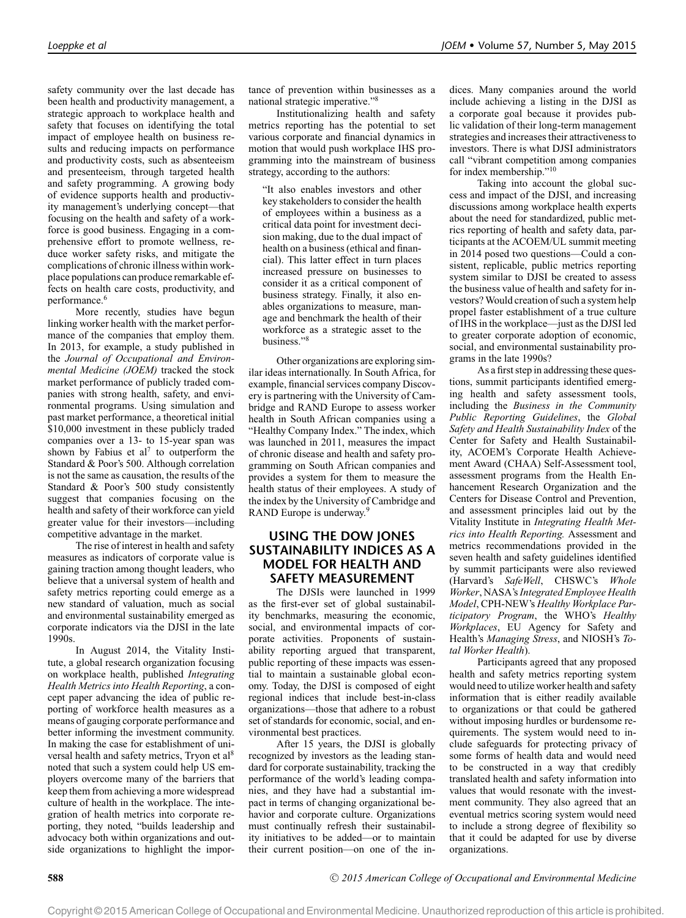safety community over the last decade has been health and productivity management, a strategic approach to workplace health and safety that focuses on identifying the total impact of employee health on business results and reducing impacts on performance and productivity costs, such as absenteeism and presenteeism, through targeted health and safety programming. A growing body of evidence supports health and productivity management's underlying concept—that focusing on the health and safety of a workforce is good business. Engaging in a comprehensive effort to promote wellness, reduce worker safety risks, and mitigate the complications of chronic illness within workplace populations can produce remarkable effects on health care costs, productivity, and performance.6

More recently, studies have begun linking worker health with the market performance of the companies that employ them. In 2013, for example, a study published in the *Journal of Occupational and Environmental Medicine (JOEM)* tracked the stock market performance of publicly traded companies with strong health, safety, and environmental programs. Using simulation and past market performance, a theoretical initial \$10,000 investment in these publicly traded companies over a 13- to 15-year span was shown by Fabius et al<sup>7</sup> to outperform the Standard & Poor's 500. Although correlation is not the same as causation, the results of the Standard & Poor's 500 study consistently suggest that companies focusing on the health and safety of their workforce can yield greater value for their investors—including competitive advantage in the market.

The rise of interest in health and safety measures as indicators of corporate value is gaining traction among thought leaders, who believe that a universal system of health and safety metrics reporting could emerge as a new standard of valuation, much as social and environmental sustainability emerged as corporate indicators via the DJSI in the late 1990s.

In August 2014, the Vitality Institute, a global research organization focusing on workplace health, published *Integrating Health Metrics into Health Reporting*, a concept paper advancing the idea of public reporting of workforce health measures as a means of gauging corporate performance and better informing the investment community. In making the case for establishment of universal health and safety metrics, Tryon et al<sup>8</sup> noted that such a system could help US employers overcome many of the barriers that keep them from achieving a more widespread culture of health in the workplace. The integration of health metrics into corporate reporting, they noted, "builds leadership and advocacy both within organizations and outside organizations to highlight the impor-

tance of prevention within businesses as a national strategic imperative."8

Institutionalizing health and safety metrics reporting has the potential to set various corporate and financial dynamics in motion that would push workplace IHS programming into the mainstream of business strategy, according to the authors:

"It also enables investors and other key stakeholders to consider the health of employees within a business as a critical data point for investment decision making, due to the dual impact of health on a business (ethical and financial). This latter effect in turn places increased pressure on businesses to consider it as a critical component of business strategy. Finally, it also enables organizations to measure, manage and benchmark the health of their workforce as a strategic asset to the business."8

Other organizations are exploring similar ideas internationally. In South Africa, for example, financial services company Discovery is partnering with the University of Cambridge and RAND Europe to assess worker health in South African companies using a "Healthy Company Index." The index, which was launched in 2011, measures the impact of chronic disease and health and safety programming on South African companies and provides a system for them to measure the health status of their employees. A study of the index by the University of Cambridge and RAND Europe is underway.<sup>9</sup>

### **USING THE DOW JONES SUSTAINABILITY INDICES AS A MODEL FOR HEALTH AND SAFETY MEASUREMENT**

The DJSIs were launched in 1999 as the first-ever set of global sustainability benchmarks, measuring the economic, social, and environmental impacts of corporate activities. Proponents of sustainability reporting argued that transparent, public reporting of these impacts was essential to maintain a sustainable global economy. Today, the DJSI is composed of eight regional indices that include best-in-class organizations—those that adhere to a robust set of standards for economic, social, and environmental best practices.

After 15 years, the DJSI is globally recognized by investors as the leading standard for corporate sustainability, tracking the performance of the world's leading companies, and they have had a substantial impact in terms of changing organizational behavior and corporate culture. Organizations must continually refresh their sustainability initiatives to be added—or to maintain their current position—on one of the in-

dices. Many companies around the world include achieving a listing in the DJSI as a corporate goal because it provides public validation of their long-term management strategies and increases their attractiveness to investors. There is what DJSI administrators call "vibrant competition among companies for index membership."10

Taking into account the global success and impact of the DJSI, and increasing discussions among workplace health experts about the need for standardized, public metrics reporting of health and safety data, participants at the ACOEM/UL summit meeting in 2014 posed two questions—Could a consistent, replicable, public metrics reporting system similar to DJSI be created to assess the business value of health and safety for investors?Would creation of such a system help propel faster establishment of a true culture of IHS in the workplace—just as the DJSI led to greater corporate adoption of economic, social, and environmental sustainability programs in the late 1990s?

As a first step in addressing these questions, summit participants identified emerging health and safety assessment tools, including the *Business in the Community Public Reporting Guidelines*, the *Global Safety and Health Sustainability Index* of the Center for Safety and Health Sustainability, ACOEM's Corporate Health Achievement Award (CHAA) Self-Assessment tool, assessment programs from the Health Enhancement Research Organization and the Centers for Disease Control and Prevention, and assessment principles laid out by the Vitality Institute in *Integrating Health Metrics into Health Reporting.* Assessment and metrics recommendations provided in the seven health and safety guidelines identified by summit participants were also reviewed (Harvard's *SafeWell*, CHSWC's *Whole Worker*, NASA's*Integrated Employee Health Model*, CPH-NEW's *Healthy Workplace Participatory Program*, the WHO's *Healthy Workplaces*, EU Agency for Safety and Health's *Managing Stress*, and NIOSH's *Total Worker Health*).

Participants agreed that any proposed health and safety metrics reporting system would need to utilize worker health and safety information that is either readily available to organizations or that could be gathered without imposing hurdles or burdensome requirements. The system would need to include safeguards for protecting privacy of some forms of health data and would need to be constructed in a way that credibly translated health and safety information into values that would resonate with the investment community. They also agreed that an eventual metrics scoring system would need to include a strong degree of flexibility so that it could be adapted for use by diverse organizations.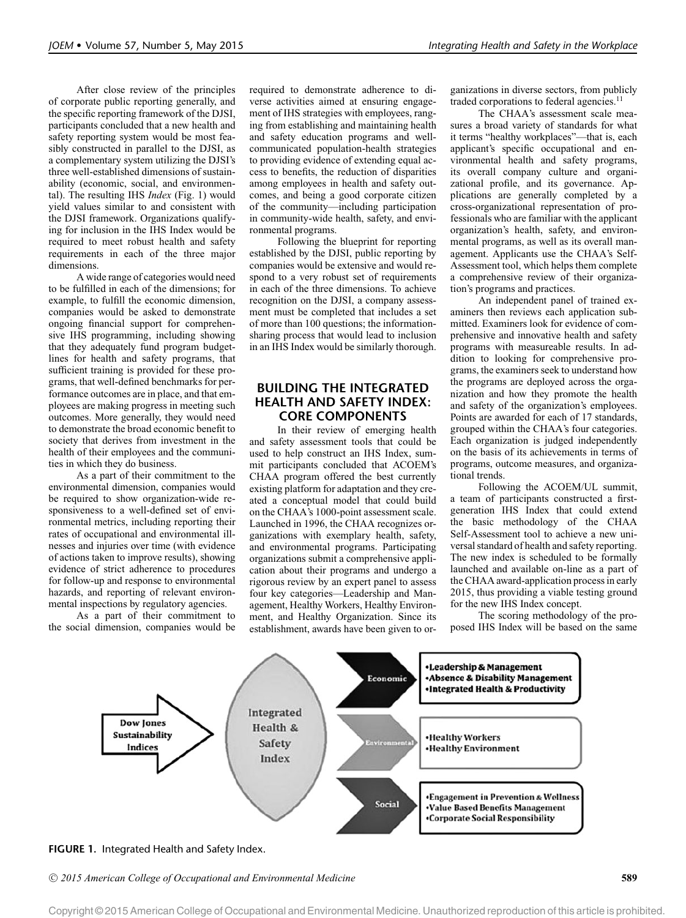After close review of the principles of corporate public reporting generally, and the specific reporting framework of the DJSI, participants concluded that a new health and safety reporting system would be most feasibly constructed in parallel to the DJSI, as a complementary system utilizing the DJSI's three well-established dimensions of sustainability (economic, social, and environmental). The resulting IHS *Index* (Fig. 1) would yield values similar to and consistent with the DJSI framework. Organizations qualifying for inclusion in the IHS Index would be required to meet robust health and safety requirements in each of the three major dimensions.

A wide range of categories would need to be fulfilled in each of the dimensions; for example, to fulfill the economic dimension, companies would be asked to demonstrate ongoing financial support for comprehensive IHS programming, including showing that they adequately fund program budgetlines for health and safety programs, that sufficient training is provided for these programs, that well-defined benchmarks for performance outcomes are in place, and that employees are making progress in meeting such outcomes. More generally, they would need to demonstrate the broad economic benefit to society that derives from investment in the health of their employees and the communities in which they do business.

As a part of their commitment to the environmental dimension, companies would be required to show organization-wide responsiveness to a well-defined set of environmental metrics, including reporting their rates of occupational and environmental illnesses and injuries over time (with evidence of actions taken to improve results), showing evidence of strict adherence to procedures for follow-up and response to environmental hazards, and reporting of relevant environmental inspections by regulatory agencies.

As a part of their commitment to the social dimension, companies would be required to demonstrate adherence to diverse activities aimed at ensuring engagement of IHS strategies with employees, ranging from establishing and maintaining health and safety education programs and wellcommunicated population-health strategies to providing evidence of extending equal access to benefits, the reduction of disparities among employees in health and safety outcomes, and being a good corporate citizen of the community—including participation in community-wide health, safety, and environmental programs.

Following the blueprint for reporting established by the DJSI, public reporting by companies would be extensive and would respond to a very robust set of requirements in each of the three dimensions. To achieve recognition on the DJSI, a company assessment must be completed that includes a set of more than 100 questions; the informationsharing process that would lead to inclusion in an IHS Index would be similarly thorough.

### **BUILDING THE INTEGRATED HEALTH AND SAFETY INDEX: CORE COMPONENTS**

In their review of emerging health and safety assessment tools that could be used to help construct an IHS Index, summit participants concluded that ACOEM's CHAA program offered the best currently existing platform for adaptation and they created a conceptual model that could build on the CHAA's 1000-point assessment scale. Launched in 1996, the CHAA recognizes organizations with exemplary health, safety, and environmental programs. Participating organizations submit a comprehensive application about their programs and undergo a rigorous review by an expert panel to assess four key categories—Leadership and Management, Healthy Workers, Healthy Environment, and Healthy Organization. Since its establishment, awards have been given to or-

ganizations in diverse sectors, from publicly traded corporations to federal agencies.<sup>11</sup>

The CHAA's assessment scale measures a broad variety of standards for what it terms "healthy workplaces"—that is, each applicant's specific occupational and environmental health and safety programs, its overall company culture and organizational profile, and its governance. Applications are generally completed by a cross-organizational representation of professionals who are familiar with the applicant organization's health, safety, and environmental programs, as well as its overall management. Applicants use the CHAA's Self-Assessment tool, which helps them complete a comprehensive review of their organization's programs and practices.

An independent panel of trained examiners then reviews each application submitted. Examiners look for evidence of comprehensive and innovative health and safety programs with measureable results. In addition to looking for comprehensive programs, the examiners seek to understand how the programs are deployed across the organization and how they promote the health and safety of the organization's employees. Points are awarded for each of 17 standards, grouped within the CHAA's four categories. Each organization is judged independently on the basis of its achievements in terms of programs, outcome measures, and organizational trends.

Following the ACOEM/UL summit, a team of participants constructed a firstgeneration IHS Index that could extend the basic methodology of the CHAA Self-Assessment tool to achieve a new universal standard of health and safety reporting. The new index is scheduled to be formally launched and available on-line as a part of the CHAA award-application process in early 2015, thus providing a viable testing ground for the new IHS Index concept.

The scoring methodology of the proposed IHS Index will be based on the same



**FIGURE 1.** Integrated Health and Safety Index.

-<sup>C</sup> *2015 American College of Occupational and Environmental Medicine* **589**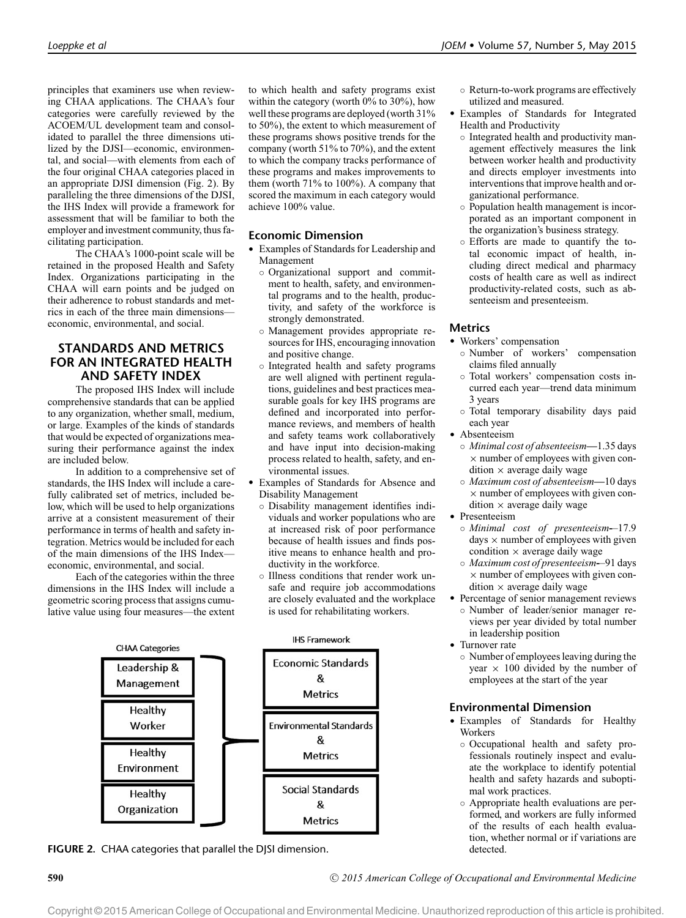principles that examiners use when reviewing CHAA applications. The CHAA's four categories were carefully reviewed by the ACOEM/UL development team and consolidated to parallel the three dimensions utilized by the DJSI—economic, environmental, and social—with elements from each of the four original CHAA categories placed in an appropriate DJSI dimension (Fig. 2). By paralleling the three dimensions of the DJSI, the IHS Index will provide a framework for assessment that will be familiar to both the employer and investment community, thus facilitating participation.

The CHAA's 1000-point scale will be retained in the proposed Health and Safety Index. Organizations participating in the CHAA will earn points and be judged on their adherence to robust standards and metrics in each of the three main dimensions economic, environmental, and social.

### **STANDARDS AND METRICS FOR AN INTEGRATED HEALTH AND SAFETY INDEX**

The proposed IHS Index will include comprehensive standards that can be applied to any organization, whether small, medium, or large. Examples of the kinds of standards that would be expected of organizations measuring their performance against the index are included below.

In addition to a comprehensive set of standards, the IHS Index will include a carefully calibrated set of metrics, included below, which will be used to help organizations arrive at a consistent measurement of their performance in terms of health and safety integration. Metrics would be included for each of the main dimensions of the IHS Index economic, environmental, and social.

Each of the categories within the three dimensions in the IHS Index will include a geometric scoring process that assigns cumulative value using four measures—the extent

to which health and safety programs exist within the category (worth 0% to 30%), how well these programs are deployed (worth 31% to 50%), the extent to which measurement of these programs shows positive trends for the company (worth 51% to 70%), and the extent to which the company tracks performance of these programs and makes improvements to them (worth 71% to 100%). A company that scored the maximum in each category would achieve 100% value.

#### **Economic Dimension**

- Examples of Standards for Leadership and Management
- Organizational support and commitment to health, safety, and environmental programs and to the health, productivity, and safety of the workforce is strongly demonstrated.
- Management provides appropriate resources for IHS, encouraging innovation and positive change.
- Integrated health and safety programs are well aligned with pertinent regulations, guidelines and best practices measurable goals for key IHS programs are defined and incorporated into performance reviews, and members of health and safety teams work collaboratively and have input into decision-making process related to health, safety, and environmental issues.
- Examples of Standards for Absence and Disability Management
- Disability management identifies individuals and worker populations who are at increased risk of poor performance because of health issues and finds positive means to enhance health and productivity in the workforce.
- Illness conditions that render work unsafe and require job accommodations are closely evaluated and the workplace is used for rehabilitating workers.



**FIGURE 2.** CHAA categories that parallel the DJSI dimension.

- Return-to-work programs are effectively utilized and measured.
- Examples of Standards for Integrated Health and Productivity
- Integrated health and productivity management effectively measures the link between worker health and productivity and directs employer investments into interventions that improve health and organizational performance.
- Population health management is incorporated as an important component in the organization's business strategy.
- Efforts are made to quantify the total economic impact of health, including direct medical and pharmacy costs of health care as well as indirect productivity-related costs, such as absenteeism and presenteeism.

#### **Metrics**

- Workers' compensation

- Number of workers' compensation claims filed annually
- Total workers' compensation costs incurred each year—trend data minimum 3 years
- Total temporary disability days paid each year
- Absenteeism
	- *Minimal cost of absenteeism***—**1.35 days  $\times$  number of employees with given con $dition \times average$  daily wage
	- *Maximum cost of absenteeism***—**10 days × number of employees with given con- $\text{dition} \times \text{average } \text{daily wage}$
- Presenteeism
	- *Minimal cost of presenteeism***-**–17.9 days  $\times$  number of employees with given condition  $\times$  average daily wage
	- *Maximum cost of presenteeism***-**–91 days  $\times$  number of employees with given condition  $\times$  average daily wage
- $dition \times average daily wage$ <br>Percentage of senior management reviews
- Number of leader/senior manager reviews per year divided by total number in leadership position
- Turnover rate
- Number of employees leaving during the year  $\times$  100 divided by the number of employees at the start of the year

### **Environmental Dimension**

- Examples of Standards for Healthy **Workers** 
	- Occupational health and safety professionals routinely inspect and evaluate the workplace to identify potential health and safety hazards and suboptimal work practices.
	- Appropriate health evaluations are performed, and workers are fully informed of the results of each health evaluation, whether normal or if variations are detected.

<sup>C</sup> *2015 American College of Occupational and Environmental Medicine*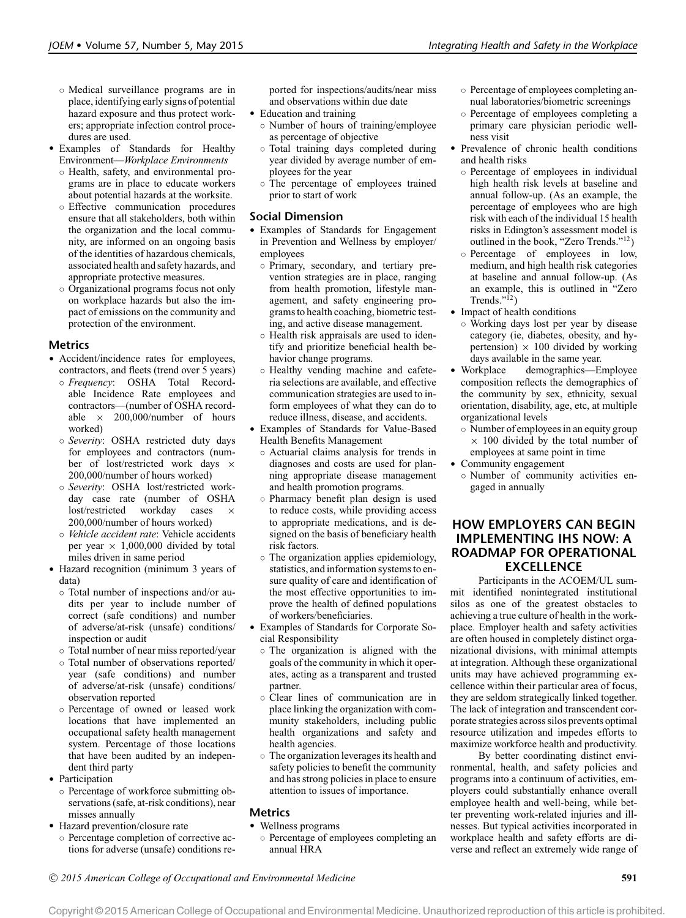- Medical surveillance programs are in place, identifying early signs of potential hazard exposure and thus protect workers; appropriate infection control procedures are used.
- Examples of Standards for Healthy Environment—*Workplace Environments*
- Health, safety, and environmental programs are in place to educate workers about potential hazards at the worksite.
- Effective communication procedures ensure that all stakeholders, both within the organization and the local community, are informed on an ongoing basis of the identities of hazardous chemicals, associated health and safety hazards, and appropriate protective measures.
- Organizational programs focus not only on workplace hazards but also the impact of emissions on the community and protection of the environment.

#### **Metrics**

- Accident/incidence rates for employees, contractors, and fleets (trend over 5 years)
	- *Frequency*: OSHA Total Recordable Incidence Rate employees and contractors—(number of OSHA recordable  $\times$  200,000/number of hours worked)
	- *Severity*: OSHA restricted duty days for employees and contractors (number of lost/restricted work days  $\times$ 200,000/number of hours worked)
	- *Severity*: OSHA lost/restricted workday case rate (number of OSHA lost/restricted workday cases 200,000/number of hours worked)
	- *Vehicle accident rate*: Vehicle accidents per year  $\times$  1,000,000 divided by total miles driven in same period
- Hazard recognition (minimum 3 years of data)
- Total number of inspections and/or audits per year to include number of correct (safe conditions) and number of adverse/at-risk (unsafe) conditions/ inspection or audit
- Total number of near miss reported/year
- Total number of observations reported/ year (safe conditions) and number of adverse/at-risk (unsafe) conditions/ observation reported
- Percentage of owned or leased work locations that have implemented an occupational safety health management system. Percentage of those locations that have been audited by an independent third party
- Participation
	- Percentage of workforce submitting observations (safe, at-risk conditions), near misses annually

tions for adverse (unsafe) conditions re-

- Hazard prevention/closure rate ◦ Percentage completion of corrective ac-

ported for inspections/audits/near miss and observations within due date

- Education and training
	- Number of hours of training/employee as percentage of objective
	- Total training days completed during year divided by average number of employees for the year
	- The percentage of employees trained prior to start of work

### **Social Dimension**

- Examples of Standards for Engagement in Prevention and Wellness by employer/ employees
	- Primary, secondary, and tertiary prevention strategies are in place, ranging from health promotion, lifestyle management, and safety engineering programs to health coaching, biometric testing, and active disease management.
	- Health risk appraisals are used to identify and prioritize beneficial health behavior change programs.
	- Healthy vending machine and cafeteria selections are available, and effective communication strategies are used to inform employees of what they can do to reduce illness, disease, and accidents.
- Examples of Standards for Value-Based Health Benefits Management
	- Actuarial claims analysis for trends in diagnoses and costs are used for planning appropriate disease management and health promotion programs.
	- Pharmacy benefit plan design is used to reduce costs, while providing access to appropriate medications, and is designed on the basis of beneficiary health risk factors.
	- The organization applies epidemiology, statistics, and information systems to ensure quality of care and identification of the most effective opportunities to improve the health of defined populations of workers/beneficiaries.
- Examples of Standards for Corporate Social Responsibility
- The organization is aligned with the goals of the community in which it operates, acting as a transparent and trusted partner.
- Clear lines of communication are in place linking the organization with community stakeholders, including public health organizations and safety and health agencies.
- The organization leverages its health and safety policies to benefit the community and has strong policies in place to ensure attention to issues of importance.

### **Metrics**

- Wellness programs
- Percentage of employees completing an annual HRA
- Percentage of employees completing annual laboratories/biometric screenings
- Percentage of employees completing a primary care physician periodic wellness visit
- Prevalence of chronic health conditions and health risks
- Percentage of employees in individual high health risk levels at baseline and annual follow-up. (As an example, the percentage of employees who are high risk with each of the individual 15 health risks in Edington's assessment model is outlined in the book, "Zero Trends."12)
- Percentage of employees in low, medium, and high health risk categories at baseline and annual follow-up. (As an example, this is outlined in "Zero Trends." $\overline{1}$ 2)
- Impact of health conditions
- Working days lost per year by disease category (ie, diabetes, obesity, and hypertension)  $\times$  100 divided by working days available in the same year.
- Workplace demographics—Employee composition reflects the demographics of the community by sex, ethnicity, sexual orientation, disability, age, etc, at multiple organizational levels
	- Number of employees in an equity group  $\times$  100 divided by the total number of employees at same point in time
- Community engagement
- Number of community activities engaged in annually

## **HOW EMPLOYERS CAN BEGIN IMPLEMENTING IHS NOW: A ROADMAP FOR OPERATIONAL EXCELLENCE**

Participants in the ACOEM/UL summit identified nonintegrated institutional silos as one of the greatest obstacles to achieving a true culture of health in the workplace. Employer health and safety activities are often housed in completely distinct organizational divisions, with minimal attempts at integration. Although these organizational units may have achieved programming excellence within their particular area of focus, they are seldom strategically linked together. The lack of integration and transcendent corporate strategies across silos prevents optimal resource utilization and impedes efforts to maximize workforce health and productivity.

By better coordinating distinct environmental, health, and safety policies and programs into a continuum of activities, employers could substantially enhance overall employee health and well-being, while better preventing work-related injuries and illnesses. But typical activities incorporated in workplace health and safety efforts are diverse and reflect an extremely wide range of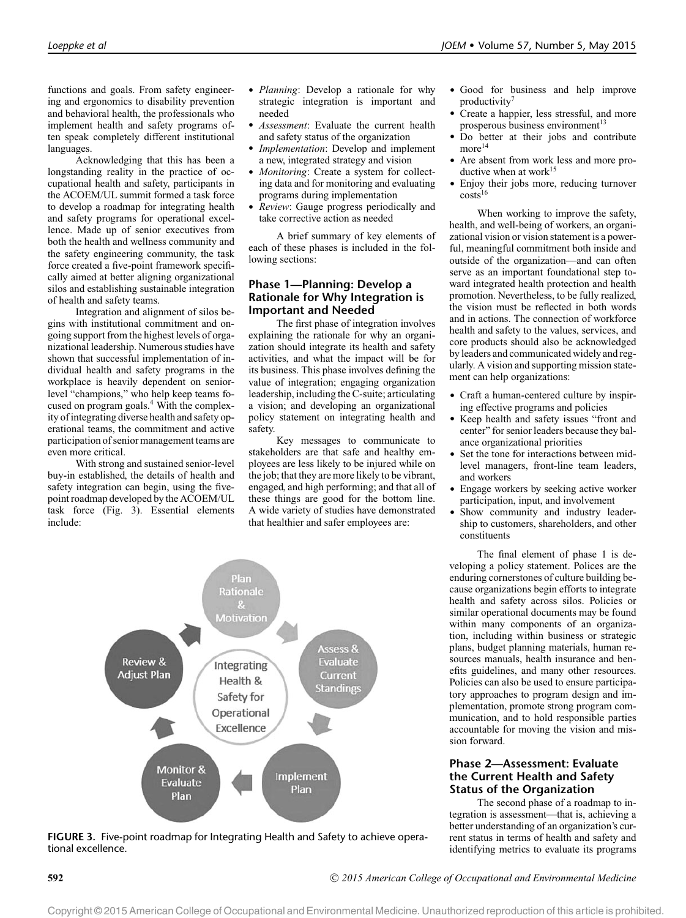functions and goals. From safety engineering and ergonomics to disability prevention and behavioral health, the professionals who implement health and safety programs often speak completely different institutional languages.

Acknowledging that this has been a longstanding reality in the practice of occupational health and safety, participants in the ACOEM/UL summit formed a task force to develop a roadmap for integrating health and safety programs for operational excellence. Made up of senior executives from both the health and wellness community and the safety engineering community, the task force created a five-point framework specifically aimed at better aligning organizational silos and establishing sustainable integration of health and safety teams.

Integration and alignment of silos begins with institutional commitment and ongoing support from the highest levels of organizational leadership. Numerous studies have shown that successful implementation of individual health and safety programs in the workplace is heavily dependent on seniorlevel "champions," who help keep teams focused on program goals.<sup>4</sup> With the complexity of integrating diverse health and safety operational teams, the commitment and active participation of senior management teams are even more critical.

With strong and sustained senior-level buy-in established, the details of health and safety integration can begin, using the fivepoint roadmap developed by the ACOEM/UL task force (Fig. 3). Essential elements include:

- *Planning*: Develop a rationale for why strategic integration is important and needed
- *Assessment*: Evaluate the current health and safety status of the organization
- *Implementation*: Develop and implement a new, integrated strategy and vision
- *Monitoring*: Create a system for collecting data and for monitoring and evaluating programs during implementation
- *Review*: Gauge progress periodically and take corrective action as needed

A brief summary of key elements of each of these phases is included in the following sections:

#### **Phase 1—Planning: Develop a Rationale for Why Integration is Important and Needed**

The first phase of integration involves explaining the rationale for why an organization should integrate its health and safety activities, and what the impact will be for its business. This phase involves defining the value of integration; engaging organization leadership, including the C-suite; articulating a vision; and developing an organizational policy statement on integrating health and safety.

Key messages to communicate to stakeholders are that safe and healthy employees are less likely to be injured while on the job; that they are more likely to be vibrant, engaged, and high performing; and that all of these things are good for the bottom line. A wide variety of studies have demonstrated that healthier and safer employees are:



**FIGURE 3.** Five-point roadmap for Integrating Health and Safety to achieve operational excellence.

- Good for business and help improve productivity<sup>7</sup>
- Create a happier, less stressful, and more prosperous business environment $13$
- Do better at their jobs and contribute  $more<sup>14</sup>$
- Are absent from work less and more productive when at work $15$
- Enjoy their jobs more, reducing turnover  $costs<sup>16</sup>$

When working to improve the safety, health, and well-being of workers, an organizational vision or vision statement is a powerful, meaningful commitment both inside and outside of the organization—and can often serve as an important foundational step toward integrated health protection and health promotion. Nevertheless, to be fully realized, the vision must be reflected in both words and in actions. The connection of workforce health and safety to the values, services, and core products should also be acknowledged by leaders and communicated widely and regularly. A vision and supporting mission statement can help organizations:

- Craft a human-centered culture by inspiring effective programs and policies
- Keep health and safety issues "front and center" for senior leaders because they balance organizational priorities
- Set the tone for interactions between midlevel managers, front-line team leaders, and workers
- Engage workers by seeking active worker participation, input, and involvement
- Show community and industry leadership to customers, shareholders, and other constituents

The final element of phase 1 is developing a policy statement. Polices are the enduring cornerstones of culture building because organizations begin efforts to integrate health and safety across silos. Policies or similar operational documents may be found within many components of an organization, including within business or strategic plans, budget planning materials, human resources manuals, health insurance and benefits guidelines, and many other resources. Policies can also be used to ensure participatory approaches to program design and implementation, promote strong program communication, and to hold responsible parties accountable for moving the vision and mission forward.

### **Phase 2—Assessment: Evaluate the Current Health and Safety Status of the Organization**

The second phase of a roadmap to integration is assessment—that is, achieving a better understanding of an organization's current status in terms of health and safety and identifying metrics to evaluate its programs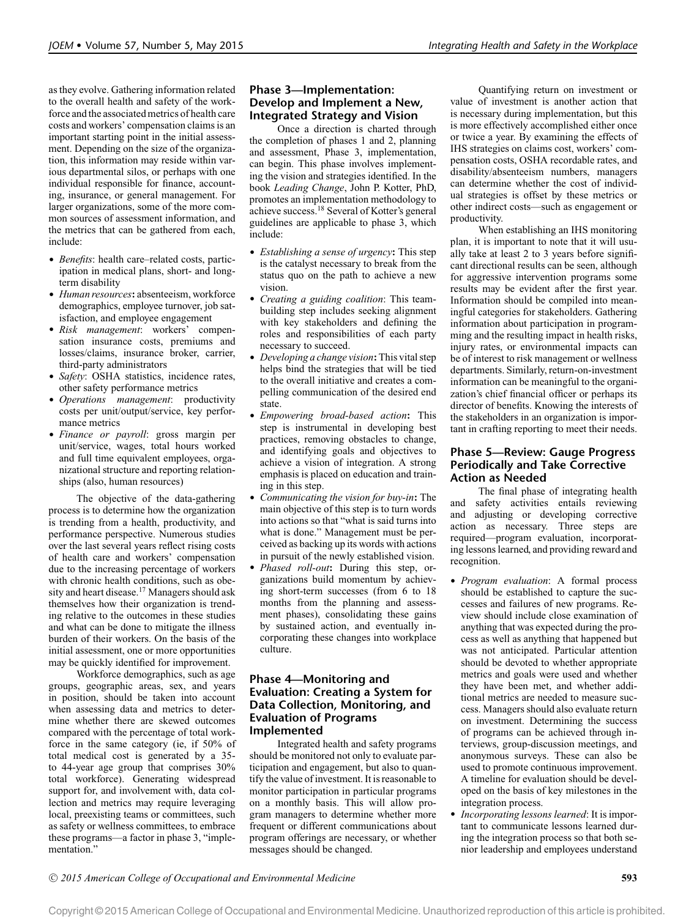as they evolve. Gathering information related to the overall health and safety of the workforce and the associated metrics of health care costs and workers' compensation claims is an important starting point in the initial assessment. Depending on the size of the organization, this information may reside within various departmental silos, or perhaps with one individual responsible for finance, accounting, insurance, or general management. For larger organizations, some of the more common sources of assessment information, and the metrics that can be gathered from each, include:

- *Benefits*: health care–related costs, participation in medical plans, short- and longterm disability
- *Human resources***:** absenteeism, workforce demographics, employee turnover, job satisfaction, and employee engagement
- *Risk management*: workers' compensation insurance costs, premiums and losses/claims, insurance broker, carrier, third-party administrators
- *Safety*: OSHA statistics, incidence rates, other safety performance metrics
- *Operations management*: productivity costs per unit/output/service, key performance metrics
- *Finance or payroll*: gross margin per unit/service, wages, total hours worked and full time equivalent employees, organizational structure and reporting relationships (also, human resources)

The objective of the data-gathering process is to determine how the organization is trending from a health, productivity, and performance perspective. Numerous studies over the last several years reflect rising costs of health care and workers' compensation due to the increasing percentage of workers with chronic health conditions, such as obesity and heart disease.<sup>17</sup> Managers should ask themselves how their organization is trending relative to the outcomes in these studies and what can be done to mitigate the illness burden of their workers. On the basis of the initial assessment, one or more opportunities may be quickly identified for improvement.

Workforce demographics, such as age groups, geographic areas, sex, and years in position, should be taken into account when assessing data and metrics to determine whether there are skewed outcomes compared with the percentage of total workforce in the same category (ie, if 50% of total medical cost is generated by a 35 to 44-year age group that comprises 30% total workforce). Generating widespread support for, and involvement with, data collection and metrics may require leveraging local, preexisting teams or committees, such as safety or wellness committees, to embrace these programs—a factor in phase 3, "implementation."

### **Phase 3—Implementation: Develop and Implement a New, Integrated Strategy and Vision**

Once a direction is charted through the completion of phases 1 and 2, planning and assessment, Phase 3, implementation, can begin. This phase involves implementing the vision and strategies identified. In the book *Leading Change*, John P. Kotter, PhD, promotes an implementation methodology to achieve success.18 Several of Kotter's general guidelines are applicable to phase 3, which include:

- *Establishing a sense of urgency***:** This step is the catalyst necessary to break from the status quo on the path to achieve a new vision.
- *Creating a guiding coalition*: This teambuilding step includes seeking alignment with key stakeholders and defining the roles and responsibilities of each party necessary to succeed.
- *Developing a change vision***:** This vital step helps bind the strategies that will be tied to the overall initiative and creates a compelling communication of the desired end state.
- - *Empowering broad-based action***:** This step is instrumental in developing best practices, removing obstacles to change, and identifying goals and objectives to achieve a vision of integration. A strong emphasis is placed on education and training in this step.
- *Communicating the vision for buy-in***:** The main objective of this step is to turn words into actions so that "what is said turns into what is done." Management must be perceived as backing up its words with actions in pursuit of the newly established vision.
- *Phased roll-out***:** During this step, organizations build momentum by achieving short-term successes (from 6 to 18 months from the planning and assessment phases), consolidating these gains by sustained action, and eventually incorporating these changes into workplace culture.

#### **Phase 4—Monitoring and Evaluation: Creating a System for Data Collection, Monitoring, and Evaluation of Programs Implemented**

Integrated health and safety programs should be monitored not only to evaluate participation and engagement, but also to quantify the value of investment. It is reasonable to monitor participation in particular programs on a monthly basis. This will allow program managers to determine whether more frequent or different communications about program offerings are necessary, or whether messages should be changed.

Quantifying return on investment or value of investment is another action that is necessary during implementation, but this is more effectively accomplished either once or twice a year. By examining the effects of IHS strategies on claims cost, workers' compensation costs, OSHA recordable rates, and disability/absenteeism numbers, managers can determine whether the cost of individual strategies is offset by these metrics or other indirect costs—such as engagement or productivity.

When establishing an IHS monitoring plan, it is important to note that it will usually take at least 2 to 3 years before significant directional results can be seen, although for aggressive intervention programs some results may be evident after the first year. Information should be compiled into meaningful categories for stakeholders. Gathering information about participation in programming and the resulting impact in health risks, injury rates, or environmental impacts can be of interest to risk management or wellness departments. Similarly, return-on-investment information can be meaningful to the organization's chief financial officer or perhaps its director of benefits. Knowing the interests of the stakeholders in an organization is important in crafting reporting to meet their needs.

### **Phase 5—Review: Gauge Progress Periodically and Take Corrective Action as Needed**

The final phase of integrating health and safety activities entails reviewing and adjusting or developing corrective action as necessary. Three steps are required—program evaluation, incorporating lessons learned, and providing reward and recognition.

- *Program evaluation*: A formal process should be established to capture the successes and failures of new programs. Review should include close examination of anything that was expected during the process as well as anything that happened but was not anticipated. Particular attention should be devoted to whether appropriate metrics and goals were used and whether they have been met, and whether additional metrics are needed to measure success. Managers should also evaluate return on investment. Determining the success of programs can be achieved through interviews, group-discussion meetings, and anonymous surveys. These can also be used to promote continuous improvement. A timeline for evaluation should be developed on the basis of key milestones in the integration process.
- - *Incorporating lessons learned*: It is important to communicate lessons learned during the integration process so that both senior leadership and employees understand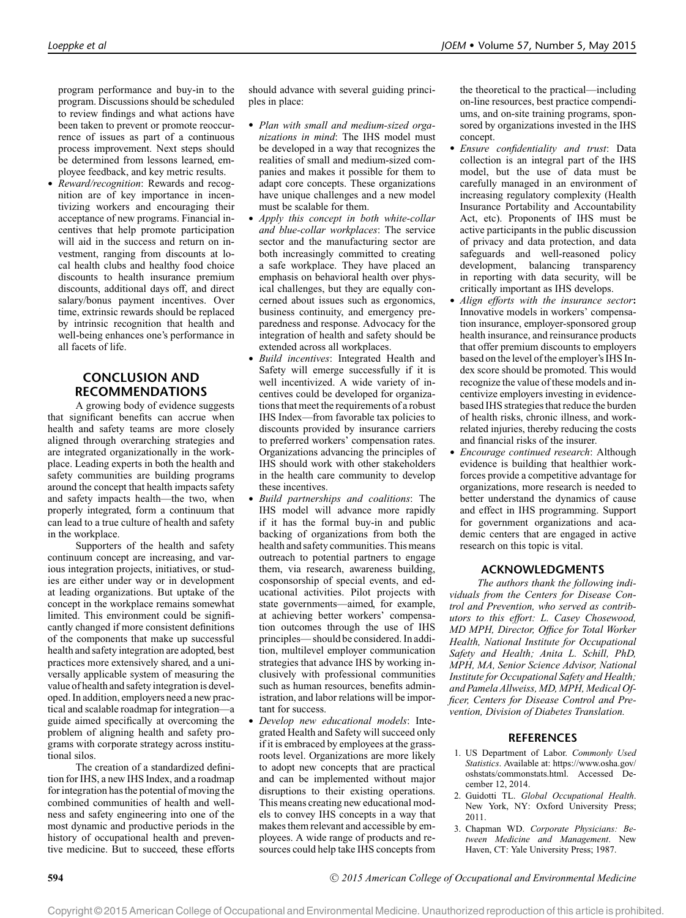program performance and buy-in to the program. Discussions should be scheduled to review findings and what actions have been taken to prevent or promote reoccurrence of issues as part of a continuous process improvement. Next steps should be determined from lessons learned, employee feedback, and key metric results.

- *Reward/recognition*: Rewards and recognition are of key importance in incentivizing workers and encouraging their acceptance of new programs. Financial incentives that help promote participation will aid in the success and return on investment, ranging from discounts at local health clubs and healthy food choice discounts to health insurance premium discounts, additional days off, and direct salary/bonus payment incentives. Over time, extrinsic rewards should be replaced by intrinsic recognition that health and well-being enhances one's performance in all facets of life.

### **CONCLUSION AND RECOMMENDATIONS**

A growing body of evidence suggests that significant benefits can accrue when health and safety teams are more closely aligned through overarching strategies and are integrated organizationally in the workplace. Leading experts in both the health and safety communities are building programs around the concept that health impacts safety and safety impacts health—the two, when properly integrated, form a continuum that can lead to a true culture of health and safety in the workplace.

Supporters of the health and safety continuum concept are increasing, and various integration projects, initiatives, or studies are either under way or in development at leading organizations. But uptake of the concept in the workplace remains somewhat limited. This environment could be significantly changed if more consistent definitions of the components that make up successful health and safety integration are adopted, best practices more extensively shared, and a universally applicable system of measuring the value of health and safety integration is developed. In addition, employers need a new practical and scalable roadmap for integration—a guide aimed specifically at overcoming the problem of aligning health and safety programs with corporate strategy across institutional silos.

The creation of a standardized definition for IHS, a new IHS Index, and a roadmap for integration has the potential of moving the combined communities of health and wellness and safety engineering into one of the most dynamic and productive periods in the history of occupational health and preventive medicine. But to succeed, these efforts

should advance with several guiding principles in place:

- *Plan with small and medium-sized organizations in mind*: The IHS model must be developed in a way that recognizes the realities of small and medium-sized companies and makes it possible for them to adapt core concepts. These organizations have unique challenges and a new model must be scalable for them.
- *Apply this concept in both white-collar and blue-collar workplaces*: The service sector and the manufacturing sector are both increasingly committed to creating a safe workplace. They have placed an emphasis on behavioral health over physical challenges, but they are equally concerned about issues such as ergonomics, business continuity, and emergency preparedness and response. Advocacy for the integration of health and safety should be extended across all workplaces.
- *Build incentives*: Integrated Health and Safety will emerge successfully if it is well incentivized. A wide variety of incentives could be developed for organizations that meet the requirements of a robust IHS Index—from favorable tax policies to discounts provided by insurance carriers to preferred workers' compensation rates. Organizations advancing the principles of IHS should work with other stakeholders in the health care community to develop these incentives.
- *Build partnerships and coalitions*: The IHS model will advance more rapidly if it has the formal buy-in and public backing of organizations from both the health and safety communities. This means outreach to potential partners to engage them, via research, awareness building, cosponsorship of special events, and educational activities. Pilot projects with state governments—aimed, for example, at achieving better workers' compensation outcomes through the use of IHS principles— should be considered. In addition, multilevel employer communication strategies that advance IHS by working inclusively with professional communities such as human resources, benefits administration, and labor relations will be important for success.
- *Develop new educational models*: Integrated Health and Safety will succeed only if it is embraced by employees at the grassroots level. Organizations are more likely to adopt new concepts that are practical and can be implemented without major disruptions to their existing operations. This means creating new educational models to convey IHS concepts in a way that makes them relevant and accessible by employees. A wide range of products and resources could help take IHS concepts from

the theoretical to the practical—including on-line resources, best practice compendiums, and on-site training programs, sponsored by organizations invested in the IHS concept.

- *Ensure confidentiality and trust*: Data collection is an integral part of the IHS model, but the use of data must be carefully managed in an environment of increasing regulatory complexity (Health Insurance Portability and Accountability Act, etc). Proponents of IHS must be active participants in the public discussion of privacy and data protection, and data safeguards and well-reasoned policy development, balancing transparency in reporting with data security, will be critically important as IHS develops.
- *Align efforts with the insurance sector***:** Innovative models in workers' compensation insurance, employer-sponsored group health insurance, and reinsurance products that offer premium discounts to employers based on the level of the employer's IHS Index score should be promoted. This would recognize the value of these models and incentivize employers investing in evidencebased IHS strategies that reduce the burden of health risks, chronic illness, and workrelated injuries, thereby reducing the costs and financial risks of the insurer.
- *Encourage continued research*: Although evidence is building that healthier workforces provide a competitive advantage for organizations, more research is needed to better understand the dynamics of cause and effect in IHS programming. Support for government organizations and academic centers that are engaged in active research on this topic is vital.

#### **ACKNOWLEDGMENTS**

*The authors thank the following individuals from the Centers for Disease Control and Prevention, who served as contributors to this effort: L. Casey Chosewood, MD MPH, Director, Office for Total Worker Health, National Institute for Occupational Safety and Health; Anita L. Schill, PhD, MPH, MA, Senior Science Advisor, National Institute for Occupational Safety and Health; and Pamela Allweiss, MD, MPH, Medical Officer, Centers for Disease Control and Prevention, Division of Diabetes Translation.*

#### **REFERENCES**

- 1. US Department of Labor. *Commonly Used Statistics*. Available at: https:/[/www.osha.gov/](http://www.osha.gov/oshstats/commonstats.html) [oshstats/commonstats.html.](http://www.osha.gov/oshstats/commonstats.html) Accessed December 12, 2014.
- 2. Guidotti TL. *Global Occupational Health*. New York, NY: Oxford University Press; 2011.
- 3. Chapman WD. *Corporate Physicians: Between Medicine and Management*. New Haven, CT: Yale University Press; 1987.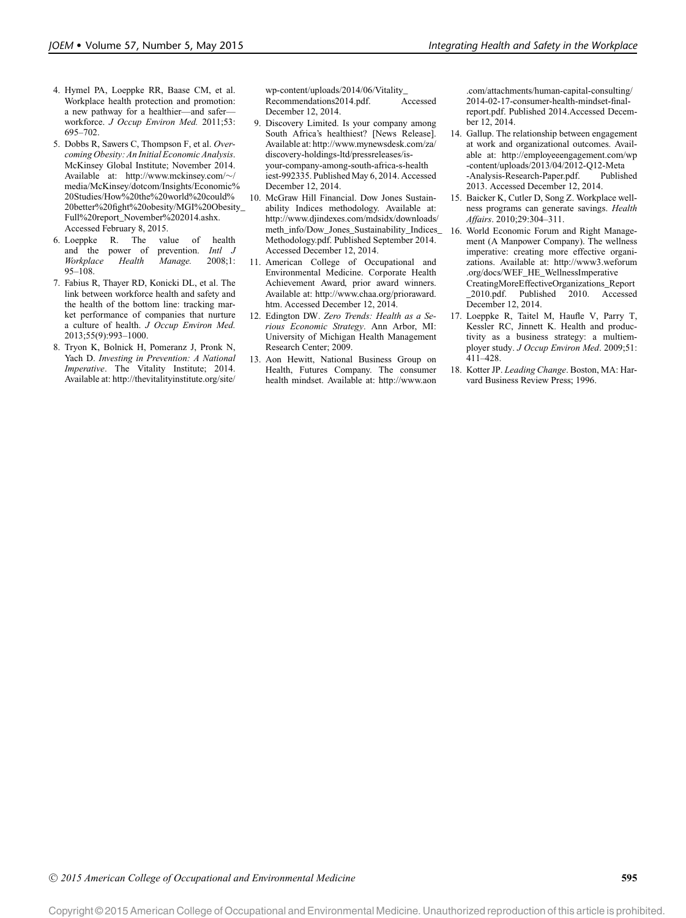- 4. Hymel PA, Loeppke RR, Baase CM, et al. Workplace health protection and promotion: a new pathway for a healthier—and safer workforce. *J Occup Environ Med.* 2011;53: 695–702.
- 5. Dobbs R, Sawers C, Thompson F, et al. *Overcoming Obesity: An Initial Economic Analysis*. McKinsey Global Institute; November 2014. Available at: [http://www.mckinsey.com/](http://www.mckinsey.com/~/media/McKinsey/dotcom/Insights/Economic%20Studies/How%20the%20world%20could%20better%20fight%20obesity/MGI%20Obesity_Full%20report_November%202014.ashx)∼/ [media/McKinsey/dotcom/Insights/Economic%](http://www.mckinsey.com/~/media/McKinsey/dotcom/Insights/Economic%20Studies/How%20the%20world%20could%20better%20fight%20obesity/MGI%20Obesity_Full%20report_November%202014.ashx) [20Studies/How%20the%20world%20could%](http://www.mckinsey.com/~/media/McKinsey/dotcom/Insights/Economic%20Studies/How%20the%20world%20could%20better%20fight%20obesity/MGI%20Obesity_Full%20report_November%202014.ashx) [20better%20fight%20obesity/MGI%20Obesity\\_](http://www.mckinsey.com/~/media/McKinsey/dotcom/Insights/Economic%20Studies/How%20the%20world%20could%20better%20fight%20obesity/MGI%20Obesity_Full%20report_November%202014.ashx) [Full%20report\\_November%202014.ashx.](http://www.mckinsey.com/~/media/McKinsey/dotcom/Insights/Economic%20Studies/How%20the%20world%20could%20better%20fight%20obesity/MGI%20Obesity_Full%20report_November%202014.ashx) Accessed February 8, 2015.
- 6. Loeppke R. The value of health and the power of prevention.  $Intl$  J and the power of prevention. *Intl J*<br>Workplace Health Manage. 2008;1; *Workplace Health Manage.* 95–108.
- 7. Fabius R, Thayer RD, Konicki DL, et al. The link between workforce health and safety and the health of the bottom line: tracking market performance of companies that nurture a culture of health. *J Occup Environ Med.* 2013;55(9):993–1000.
- 8. Tryon K, Bolnick H, Pomeranz J, Pronk N, Yach D. *Investing in Prevention: A National Imperative*. The Vitality Institute; 2014. Available at: http://thevitalityinstitute.org/site/

wp-content/uploads/2014/06/Vitality\_ Recommendations2014.pdf. Accessed December 12, 2014.

- 9. Discovery Limited. Is your company among South Africa's healthiest? [News Release]. Available at: [http://www.mynewsdesk.com/za/](http://www.mynewsdesk.com/za/discovery-holdings-ltd/pressreleases/is-your-company-among-south-africa-s-healthiest-992335) [discovery-holdings-ltd/pressreleases/is](http://www.mynewsdesk.com/za/discovery-holdings-ltd/pressreleases/is-your-company-among-south-africa-s-healthiest-992335)[your-company-among-south-africa-s-health](http://www.mynewsdesk.com/za/discovery-holdings-ltd/pressreleases/is-your-company-among-south-africa-s-healthiest-992335) [iest-992335.](http://www.mynewsdesk.com/za/discovery-holdings-ltd/pressreleases/is-your-company-among-south-africa-s-healthiest-992335) Published May 6, 2014. Accessed December 12, 2014.
- 10. McGraw Hill Financial. Dow Jones Sustainability Indices methodology. Available at: [http://www.djindexes.com/mdsidx/downloads/](http://www.djindexes.com/mdsidx/downloads/meth_info/Dow_Jones_Sustainability_Indices_Methodology.pdf) [meth\\_info/Dow\\_Jones\\_Sustainability\\_Indices\\_](http://www.djindexes.com/mdsidx/downloads/meth_info/Dow_Jones_Sustainability_Indices_Methodology.pdf) [Methodology.pdf.](http://www.djindexes.com/mdsidx/downloads/meth_info/Dow_Jones_Sustainability_Indices_Methodology.pdf) Published September 2014. Accessed December 12, 2014.
- 11. American College of Occupational and Environmental Medicine. Corporate Health Achievement Award, prior award winners. Available at: [http://www.chaa.org/prioraward.](http://www.chaa.org/prioraward.htm) [htm.](http://www.chaa.org/prioraward.htm) Accessed December 12, 2014.
- 12. Edington DW. *Zero Trends: Health as a Serious Economic Strategy*. Ann Arbor, MI: University of Michigan Health Management Research Center; 2009.
- 13. Aon Hewitt, National Business Group on Health, Futures Company. The consumer health mindset. Available at: http://www.aon

.com/attachments/human-capital-consulting/ 2014-02-17-consumer-health-mindset-finalreport.pdf. Published 2014.Accessed December 12, 2014.

- 14. Gallup. The relationship between engagement at work and organizational outcomes. Available at: [http://employeeengagement.com/wp](http://employeeengagement.com/wp-content/uploads/2013/04/2012-Q12-Meta-Analysis-Research-Paper.pdf) [-content/uploads/2013/04/2012-Q12-Meta](http://employeeengagement.com/wp-content/uploads/2013/04/2012-Q12-Meta-Analysis-Research-Paper.pdf) [-Analysis-Research-Paper.pdf.](http://employeeengagement.com/wp-content/uploads/2013/04/2012-Q12-Meta-Analysis-Research-Paper.pdf) Published 2013. Accessed December 12, 2014.
- 15. Baicker K, Cutler D, Song Z. Workplace wellness programs can generate savings. *Health Affairs*. 2010;29:304–311.
- 16. World Economic Forum and Right Management (A Manpower Company). The wellness imperative: creating more effective organizations. Available at: [http://www3.weforum](http://www3.weforum.org/docs/WEF_HE_WellnessImperativeCreatingMoreEffectiveOrganizations_Report_2010.pdf) [.org/docs/WEF\\_HE\\_WellnessImperative](http://www3.weforum.org/docs/WEF_HE_WellnessImperativeCreatingMoreEffectiveOrganizations_Report_2010.pdf) [CreatingMoreEffectiveOrganizations\\_Report](http://www3.weforum.org/docs/WEF_HE_WellnessImperativeCreatingMoreEffectiveOrganizations_Report_2010.pdf) [\\_2010.pdf.](http://www3.weforum.org/docs/WEF_HE_WellnessImperativeCreatingMoreEffectiveOrganizations_Report_2010.pdf) Published 2010. Accessed December 12, 2014.
- 17. Loeppke R, Taitel M, Haufle V, Parry T, Kessler RC, Jinnett K. Health and productivity as a business strategy: a multiemployer study. *J Occup Environ Med*. 2009;51: 411–428.
- 18. Kotter JP. *Leading Change*. Boston, MA: Harvard Business Review Press; 1996.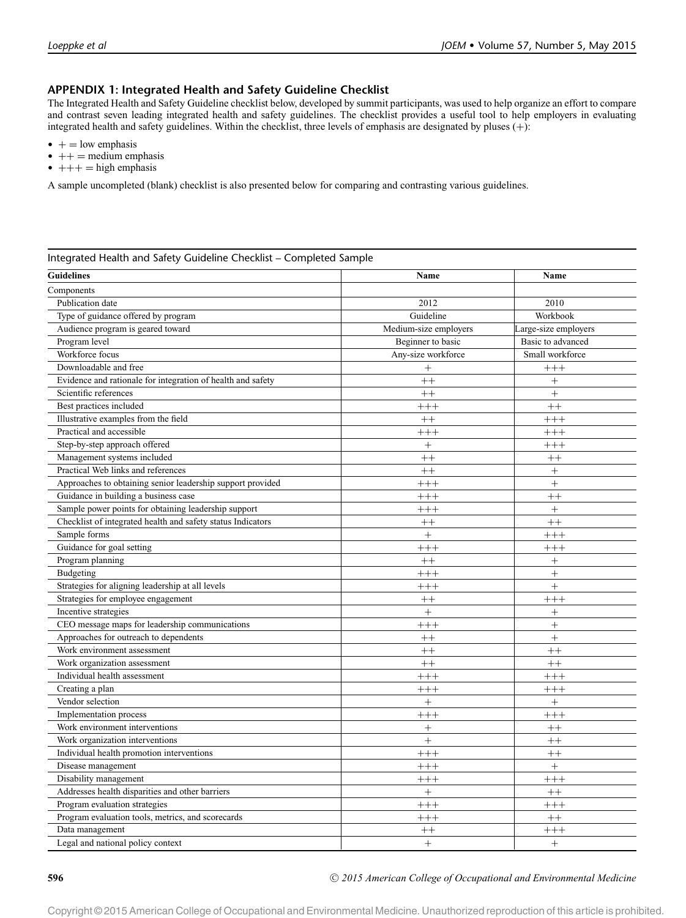### **APPENDIX 1: Integrated Health and Safety Guideline Checklist**

The Integrated Health and Safety Guideline checklist below, developed by summit participants, was used to help organize an effort to compare and contrast seven leading integrated health and safety guidelines. The checklist provides a useful tool to help employers in evaluating integrated health and safety guidelines. Within the checklist, three levels of emphasis are designated by pluses (+):

- $\bullet +$  = low emphasis
- $+ +$  = medium emphasis  $+ +$  = medium emphasis<br>  $+ +$  + = high emphasis
- 

A sample uncompleted (blank) checklist is also presented below for comparing and contrasting various guidelines.

| Integrated Health and Safety Guideline Checklist - Completed Sample |                       |                      |
|---------------------------------------------------------------------|-----------------------|----------------------|
| <b>Guidelines</b>                                                   | Name                  | Name                 |
| Components                                                          |                       |                      |
| Publication date                                                    | 2012                  | 2010                 |
| Type of guidance offered by program                                 | Guideline             | Workbook             |
| Audience program is geared toward                                   | Medium-size employers | Large-size employers |
| Program level                                                       | Beginner to basic     | Basic to advanced    |
| Workforce focus                                                     | Any-size workforce    | Small workforce      |
| Downloadable and free                                               | $^{+}$                | $^{+++}$             |
| Evidence and rationale for integration of health and safety         | $^{++}$               | $^{+}$               |
| Scientific references                                               | $++$                  | $+$                  |
| Best practices included                                             | $+++$                 | $^{++}$              |
| Illustrative examples from the field                                | $++$                  | $+++$                |
| Practical and accessible                                            | $++++$                | $++++$               |
| Step-by-step approach offered                                       | $^{+}$                | $++++$               |
| Management systems included                                         | $++$                  | $++$                 |
| Practical Web links and references                                  | $++$                  | $^{+}$               |
| Approaches to obtaining senior leadership support provided          | $+++$                 | $\ddot{}$            |
| Guidance in building a business case                                | $+++$                 | $^{++}$              |
| Sample power points for obtaining leadership support                | $+++$                 | $+$                  |
| Checklist of integrated health and safety status Indicators         | $^{++}$               | $++$                 |
| Sample forms                                                        | $^{+}$                | $+++$                |
| Guidance for goal setting                                           | $+++$                 | $+++$                |
| Program planning                                                    | $^{++}$               | $^{+}$               |
| <b>Budgeting</b>                                                    | $+++$                 | $+$                  |
| Strategies for aligning leadership at all levels                    | $++++$                | $^{+}$               |
| Strategies for employee engagement                                  | $^{\mathrm{++}}$      | $++++$               |
| Incentive strategies                                                | $+$                   | $^{+}$               |
| CEO message maps for leadership communications                      | $+++$                 | $+$                  |
| Approaches for outreach to dependents                               | $++$                  | $^{+}$               |
| Work environment assessment                                         | $^{++}$               | $++$                 |
| Work organization assessment                                        | $++$                  | $++$                 |
| Individual health assessment                                        | $+++$                 | $++++$               |
| Creating a plan                                                     | $+++$                 | $+++$                |
| Vendor selection                                                    | $^{+}$                |                      |
| Implementation process                                              | $+++$                 | $+++$                |
| Work environment interventions                                      | $^{+}$                | $++$                 |
| Work organization interventions                                     | $+$                   | $++$                 |
| Individual health promotion interventions                           | $+++$                 | $++$                 |
| Disease management                                                  | $+++$                 | $^{+}$               |
| Disability management                                               | $+++$                 | $+++$                |
| Addresses health disparities and other barriers                     | $^{+}$                | $++$                 |
| Program evaluation strategies                                       | $+++$                 | $++++$               |
| Program evaluation tools, metrics, and scorecards                   | $+++$                 | $^{++}$              |
| Data management                                                     | $^{++}$               | $++++$               |
| Legal and national policy context                                   | $+$                   | $+$                  |

#### <sup>C</sup> *2015 American College of Occupational and Environmental Medicine*

Copyright © 2015 American College of Occupational and Environmental Medicine. Unauthorized reproduction of this article is prohibited.